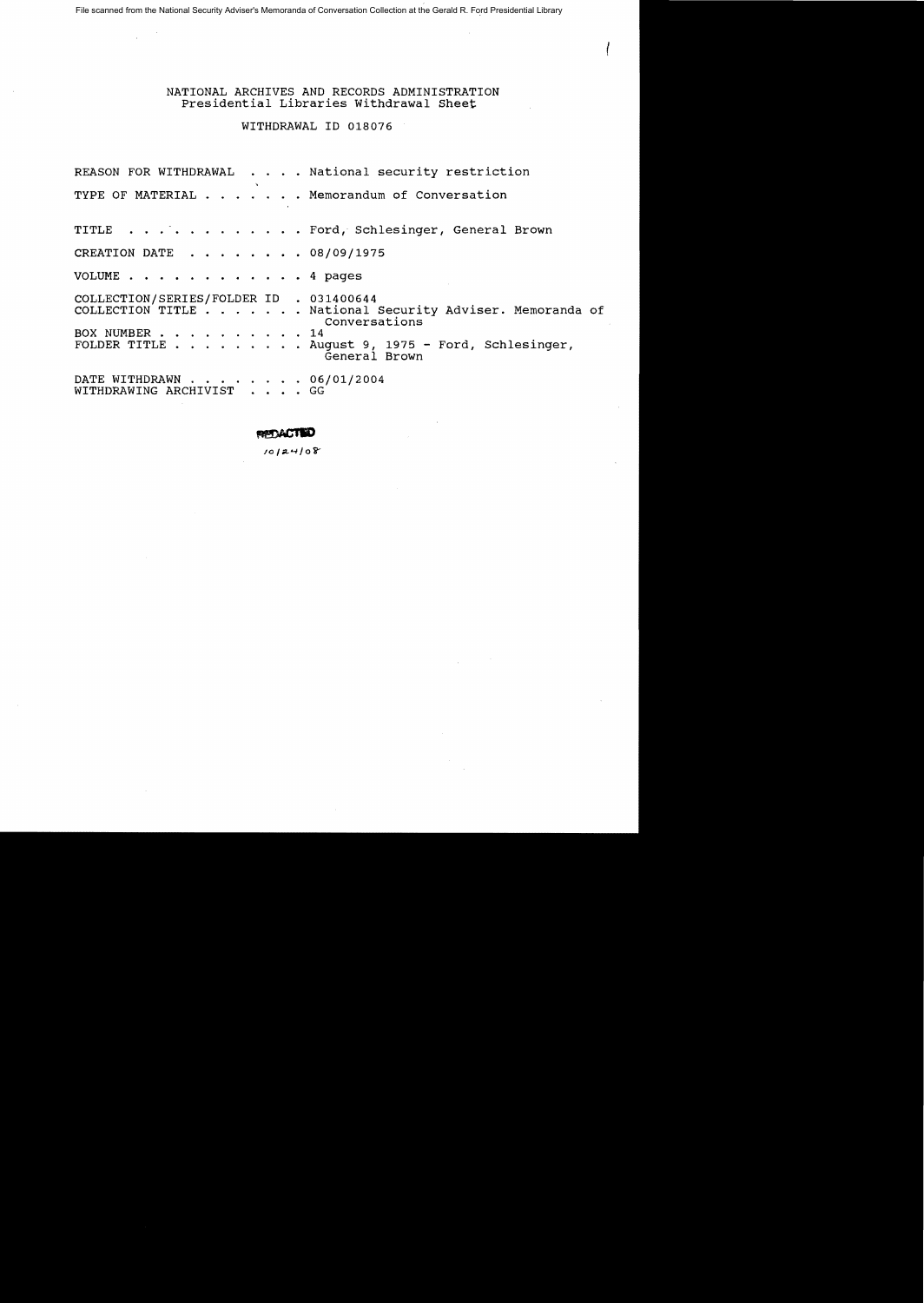File scanned from the National Security Adviser's Memoranda of Conversation Collection at the Gerald R. Ford Presidential Library

### NATIONAL ARCHIVES AND RECORDS ADMINISTRATION Presidential Libraries Withdrawal Sheet

# WITHDRAWAL ID 018076

REASON FOR WITHDRAWAL . . . . National security restriction TYPE OF MATERIAL . . . . . . Memorandum of Conversation TITLE . . . . . . . . . . . . Ford, Schlesinger, General Brown CREATION DATE  $\ldots$  . . . . . 08/09/1975 VOLUME . • • . . . . • 4 pages COLLECTION/SERIES/FOLDER ID . 031400644<br>COLLECTION TITLE . . . . . . . National Security Adviser. Memoranda of Conversations BOX NUMBER . . . . . . . . . . 14 FOLDER TITLE . . . . . . . . . . . . . . 14<br>FOLDER TITLE . . . . . . . . . . . August 9, 1975 -<br>General Brown Ford, Schlesinger, DATE WITHDRAWN . . . . . . . . 06/01/2004<br>WITHDRAWING ARCHIVIST . . . . GG

#### RPDACTED

 $10124108$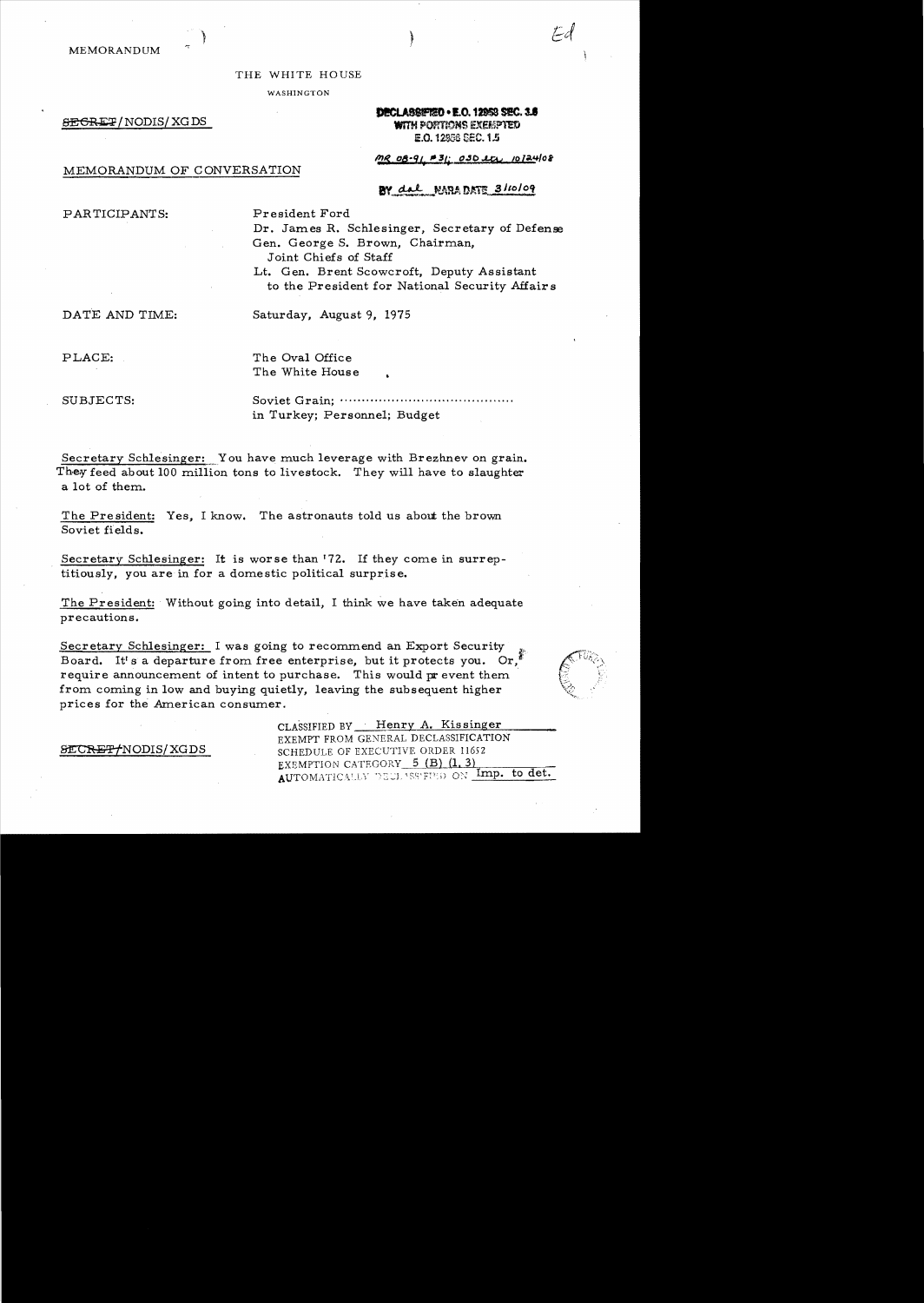MEMORANDUM

#### THE WHITE HOUSE

WASHINGTON

SEGRET/NODIS/XGDS

# DECLASSIFIED . E.O. 12953 SEC. 3.8 **WITH PORTRONS EXERPTED** E.O. 12858 SEC. 1.5

Fa

# MEMORANDUM OF CONVERSATION

MR 08-91 #31: 030 etc 10124/08

# BY dal NARADATE 3/10/09

PARTICIPANTS:

President Ford

Dr. James R. Schlesinger, Secretary of Defense Gen. George S. Brown, Chairman, Joint Chiefs of Staff

Lt. Gen. Brent Scowcroft, Deputy Assistant to the President for National Security Affairs

DATE AND TIME:

SECRET/NODIS/XGDS

Saturday, August 9, 1975

PLACE:

The Oval Office The White House

SUBJECTS:

in Turkey; Personnel; Budget

Secretary Schlesinger: You have much leverage with Brezhnev on grain. They feed about 100 million tons to livestock. They will have to slaughter a lot of them.

The President: Yes, I know. The astronauts told us about the brown Soviet fields.

Secretary Schlesinger: It is worse than '72. If they come in surreptitiously, you are in for a domestic political surprise.

The President: Without going into detail, I think we have taken adequate precautions.

Secretary Schlesinger: I was going to recommend an Export Security Board. It's a departure from free enterprise, but it protects you. Or, require announcement of intent to purchase. This would prevent them from coming in low and buying quietly, leaving the subsequent higher prices for the American consumer.



CLASSIFIED BY Henry A. Kissinger **FXEMPT FROM GENERAL DECLASSIFICATION** SCHEDULE OF EXECUTIVE ORDER 11652 EXEMPTION CATEGORY 5 (B) (1.3) AUTOMATICALLY DEULASSERED ON Imp. to det.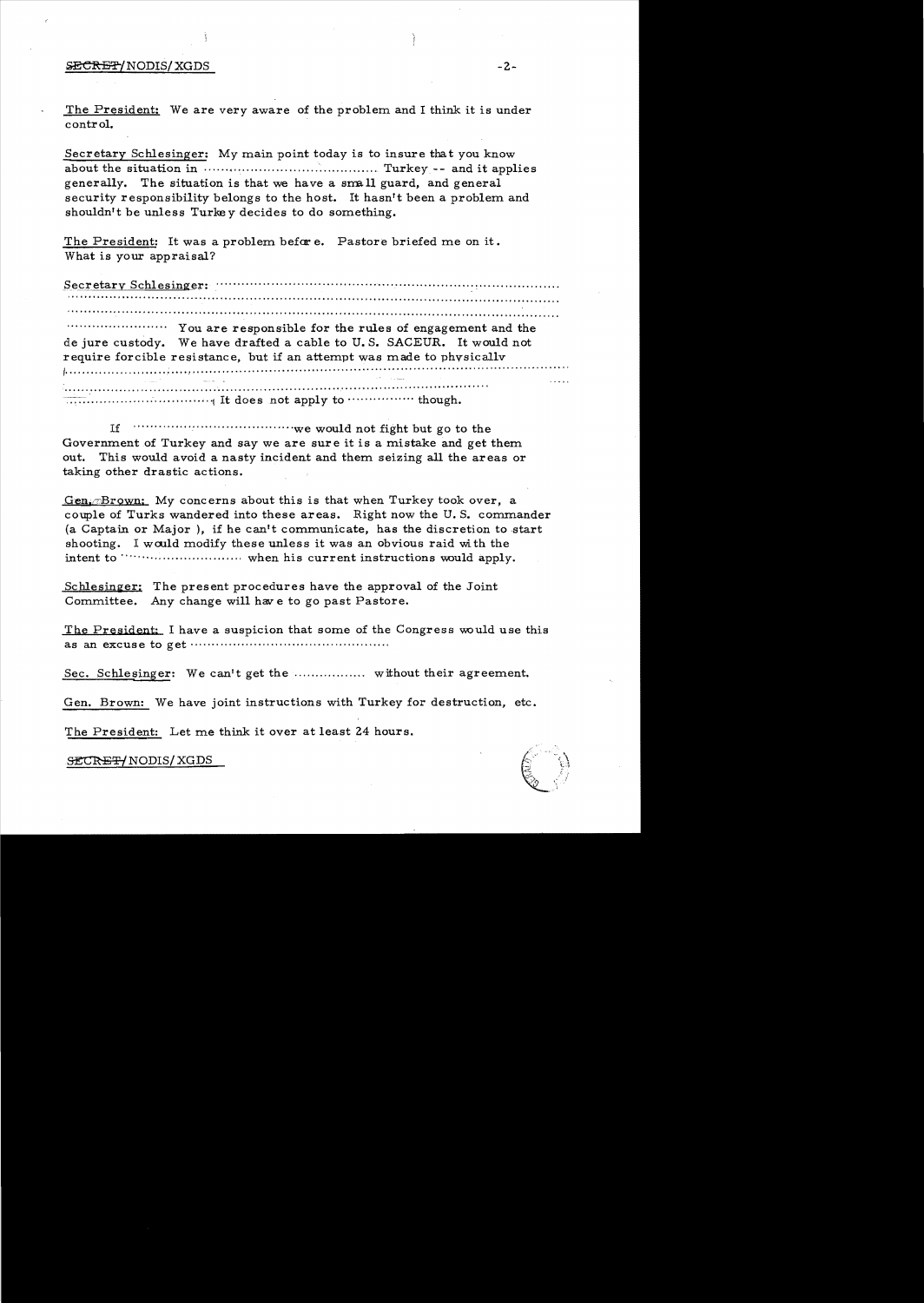## SECRET/NODIS/XGDS

The President: We are very aware of the problem and I think it is under control.

Secretary Schlesinger: My main point today is to insure that you know generally. The situation is that we have a small guard, and general security responsibility belongs to the host. It hasn't been a problem and shouldn't be unless Turkey decides to do something.

The President: It was a problem before. Pastore briefed me on it. What is your appraisal?

"""""" You are responsible for the rules of engagement and the de jure custody. We have drafted a cable to U.S. SACEUR. It would not require forcible resistance, but if an attempt was made to physically  $\overline{\cdots}$  is the summatted in the set of the state of the state of the state of the state of the state of the state of the state of the state of the state of the state of the state of the state of the state of the state o

Government of Turkey and say we are sure it is a mistake and get them out. This would avoid a nasty incident and them seizing all the areas or taking other drastic actions.

 $Gen \subset \mathbb{R}$  Brown: My concerns about this is that when Turkey took over, a couple of Turks wandered into these areas. Right now the U.S. commander (a Captain or Major), if he can't communicate, has the discretion to start shooting. I would modify these unless it was an obvious raid with the 

Schlesinger: The present procedures have the approval of the Joint Committee. Any change will have to go past Pastore.

The President: I have a suspicion that some of the Congress would use this 

Sec. Schlesinger: We can't get the ..................... without their agreement.

Gen. Brown: We have joint instructions with Turkey for destruction, etc.

The President: Let me think it over at least 24 hours.

SECRET/NODIS/XGDS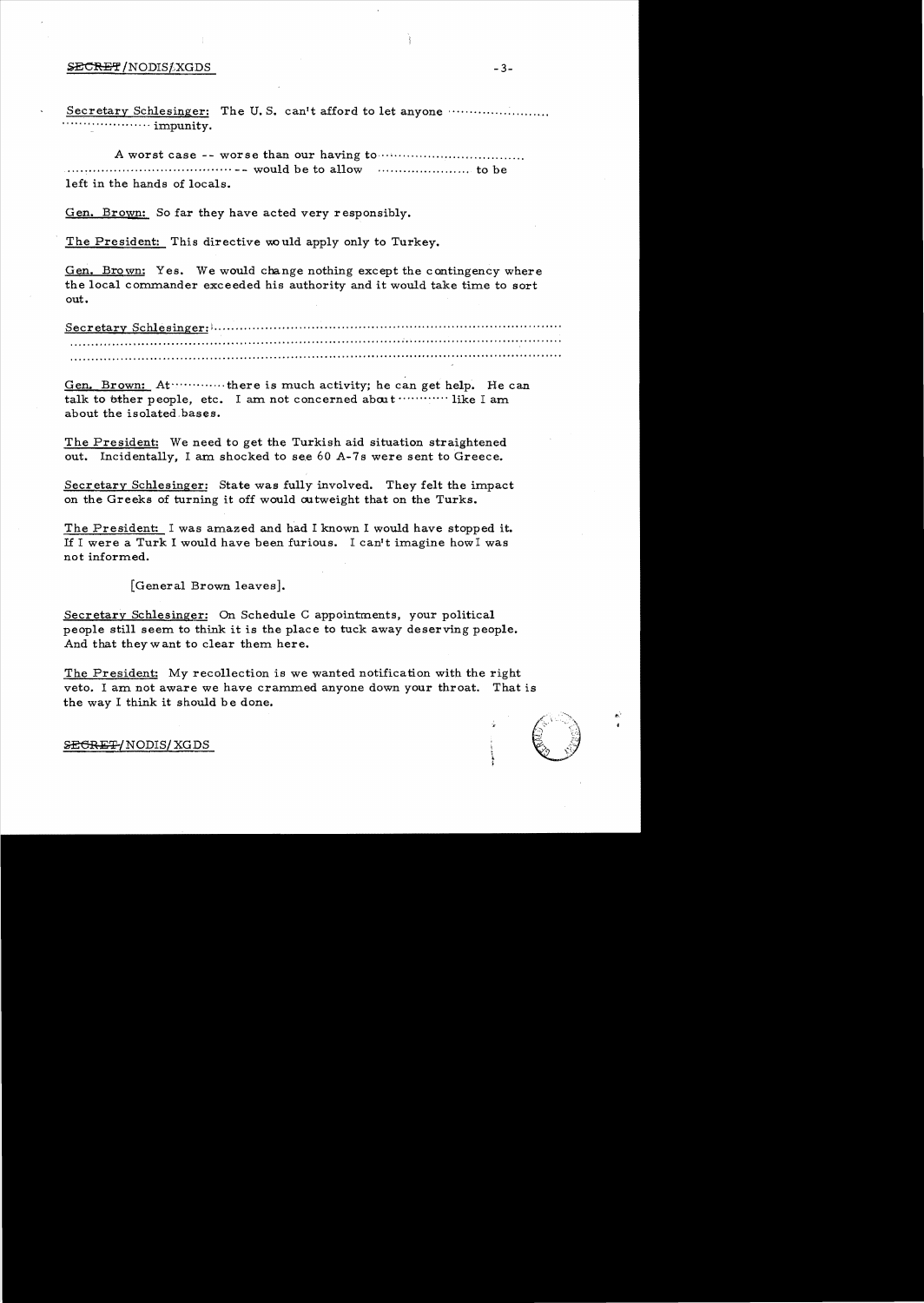#### SECRET/NODIS&XGDS

Secretary Schlesinger: The U.S. can't afford to let anyone ...................... 

left in the hands of locals.

Gen. Brown: So far they have acted very responsibly.

The President: This directive would apply only to Turkey.

Gen. Brown: Yes. We would change nothing except the contingency where the local commander exceeded his authority and it would take time to sort out.

Secretary Schlesinger: humanimum and contain the secretary Schlesinger: humanimum 

Gen. Brown: At ............. there is much activity; he can get help. He can talk to other people, etc. I am not concerned about ............. like I am about the isolated bases.

The President: We need to get the Turkish aid situation straightened out. Incidentally, I am shocked to see 60 A-7s were sent to Greece.

Secretary Schlesinger: State was fully involved. They felt the impact on the Greeks of turning it off would outweight that on the Turks.

The President: I was amazed and had I known I would have stopped it. If I were a Turk I would have been furious. I can't imagine how I was not informed.

[General Brown leaves].

Secretary Schlesinger: On Schedule C appointments, your political people still seem to think it is the place to tuck away deserving people. And that they want to clear them here.

The President: My recollection is we wanted notification with the right veto. I am not aware we have crammed anyone down your throat. That is the way I think it should be done.

SEGRET/NODIS/XGDS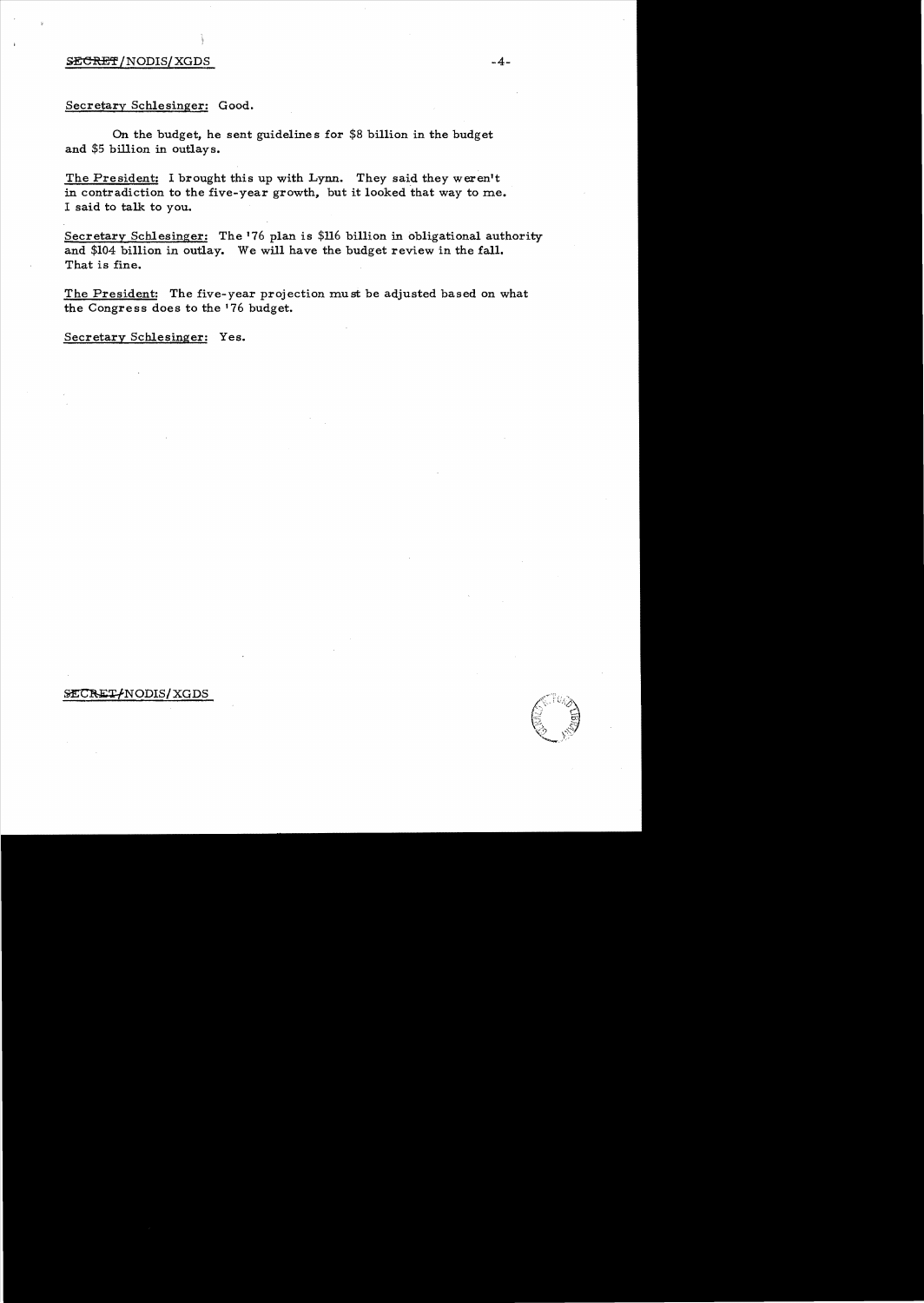# $S\text{ECREF}/\text{NODIS}/\text{XGDS}$   $-4-$

# Secretary Schlesinger: Good.

On the budget, he sent guideline s for \$8 billion in the budget and \$5 billion in outlays.

The President: I brought this up with Lynn. They said they weren't in contradiction to the five-year growth, but it looked that way to me. I said to talk to you.

Secretary Schlesinger: The '76 plan is \$116 billion in obligational authority and \$104 billion in outlay. We will have the budget review in the fall. That is fine.

The President: The five-year projection must be adjusted based on what the Congress does to the '76 budget.

Secretary Schlesinger: Yes.